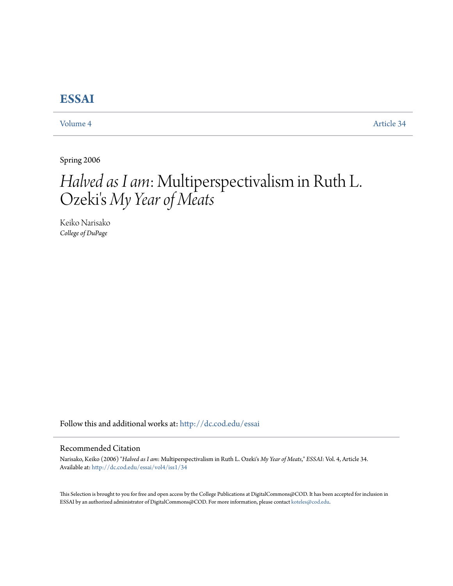## **[ESSAI](http://dc.cod.edu/essai?utm_source=dc.cod.edu%2Fessai%2Fvol4%2Fiss1%2F34&utm_medium=PDF&utm_campaign=PDFCoverPages)**

[Volume 4](http://dc.cod.edu/essai/vol4?utm_source=dc.cod.edu%2Fessai%2Fvol4%2Fiss1%2F34&utm_medium=PDF&utm_campaign=PDFCoverPages) [Article 34](http://dc.cod.edu/essai/vol4/iss1/34?utm_source=dc.cod.edu%2Fessai%2Fvol4%2Fiss1%2F34&utm_medium=PDF&utm_campaign=PDFCoverPages)

Spring 2006

# *Halved as I am*: Multiperspectivalism in Ruth L. Ozeki's *My Year of Meats*

Keiko Narisako *College of DuPage*

Follow this and additional works at: [http://dc.cod.edu/essai](http://dc.cod.edu/essai?utm_source=dc.cod.edu%2Fessai%2Fvol4%2Fiss1%2F34&utm_medium=PDF&utm_campaign=PDFCoverPages)

### Recommended Citation

Narisako, Keiko (2006) "*Halved as I am*: Multiperspectivalism in Ruth L. Ozeki's *My Year of Meats*," *ESSAI*: Vol. 4, Article 34. Available at: [http://dc.cod.edu/essai/vol4/iss1/34](http://dc.cod.edu/essai/vol4/iss1/34?utm_source=dc.cod.edu%2Fessai%2Fvol4%2Fiss1%2F34&utm_medium=PDF&utm_campaign=PDFCoverPages)

This Selection is brought to you for free and open access by the College Publications at DigitalCommons@COD. It has been accepted for inclusion in ESSAI by an authorized administrator of DigitalCommons@COD. For more information, please contact [koteles@cod.edu](mailto:koteles@cod.edu).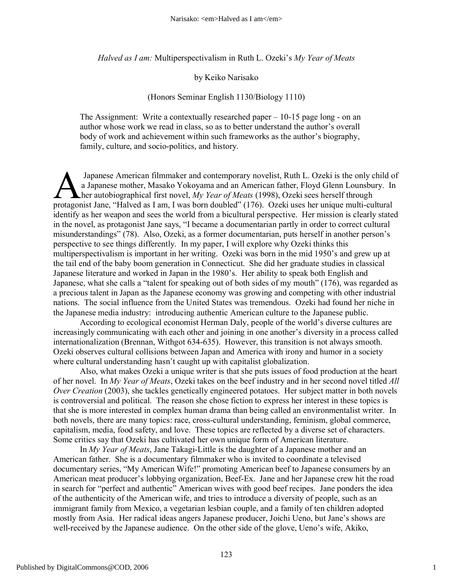*Halved as I am:* Multiperspectivalism in Ruth L. Ozeki's *My Year of Meats*

#### by Keiko Narisako

#### (Honors Seminar English 1130/Biology 1110)

The Assignment: Write a contextually researched paper – 10-15 page long - on an author whose work we read in class, so as to better understand the author's overall body of work and achievement within such frameworks as the author's biography, family, culture, and socio-politics, and history.

 Japanese American filmmaker and contemporary novelist, Ruth L. Ozeki is the only child of a Japanese mother, Masako Yokoyama and an American father, Floyd Glenn Lounsbury. In her autobiographical first novel, *My Year of Meats* (1998), Ozeki sees herself through Japanese American filmmaker and contemporary novelist, Ruth L. Ozeki is the only child of a Japanese mother, Masako Yokoyama and an American father, Floyd Glenn Lounsbury. In the autobiographical first novel, *My Year of M* identify as her weapon and sees the world from a bicultural perspective. Her mission is clearly stated in the novel, as protagonist Jane says, "I became a documentarian partly in order to correct cultural misunderstandings" (78). Also, Ozeki, as a former documentarian, puts herself in another person's perspective to see things differently. In my paper, I will explore why Ozeki thinks this multiperspectivalism is important in her writing. Ozeki was born in the mid 1950's and grew up at the tail end of the baby boom generation in Connecticut. She did her graduate studies in classical Japanese literature and worked in Japan in the 1980's. Her ability to speak both English and Japanese, what she calls a "talent for speaking out of both sides of my mouth" (176), was regarded as a precious talent in Japan as the Japanese economy was growing and competing with other industrial nations. The social influence from the United States was tremendous. Ozeki had found her niche in the Japanese media industry: introducing authentic American culture to the Japanese public.

According to ecological economist Herman Daly, people of the world's diverse cultures are increasingly communicating with each other and joining in one another's diversity in a process called internationalization (Brennan, Withgot 634-635). However, this transition is not always smooth. Ozeki observes cultural collisions between Japan and America with irony and humor in a society where cultural understanding hasn't caught up with capitalist globalization.

Also, what makes Ozeki a unique writer is that she puts issues of food production at the heart of her novel. In *My Year of Meats*, Ozeki takes on the beef industry and in her second novel titled *All Over Creation* (2003), she tackles genetically engineered potatoes. Her subject matter in both novels is controversial and political. The reason she chose fiction to express her interest in these topics is that she is more interested in complex human drama than being called an environmentalist writer. In both novels, there are many topics: race, cross-cultural understanding, feminism, global commerce, capitalism, media, food safety, and love. These topics are reflected by a diverse set of characters. Some critics say that Ozeki has cultivated her own unique form of American literature.

In *My Year of Meats*, Jane Takagi-Little is the daughter of a Japanese mother and an American father. She is a documentary filmmaker who is invited to coordinate a televised documentary series, "My American Wife!" promoting American beef to Japanese consumers by an American meat producer's lobbying organization, Beef-Ex. Jane and her Japanese crew hit the road in search for "perfect and authentic" American wives with good beef recipes. Jane ponders the idea of the authenticity of the American wife, and tries to introduce a diversity of people, such as an immigrant family from Mexico, a vegetarian lesbian couple, and a family of ten children adopted mostly from Asia. Her radical ideas angers Japanese producer, Joichi Ueno, but Jane's shows are well-received by the Japanese audience. On the other side of the glove, Ueno's wife, Akiko,

1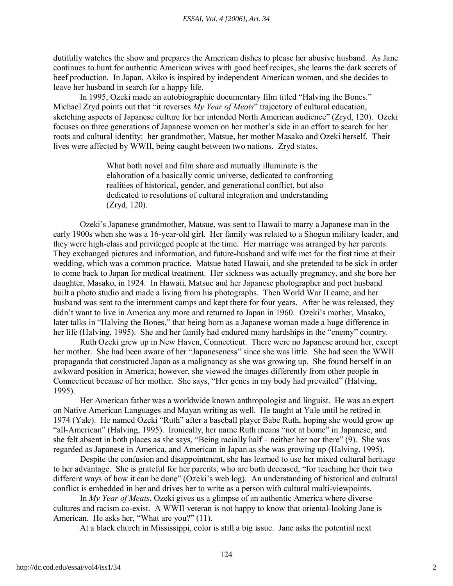dutifully watches the show and prepares the American dishes to please her abusive husband. As Jane continues to hunt for authentic American wives with good beef recipes, she learns the dark secrets of beef production. In Japan, Akiko is inspired by independent American women, and she decides to leave her husband in search for a happy life.

In 1995, Ozeki made an autobiographic documentary film titled "Halving the Bones." Michael Zryd points out that "it reverses *My Year of Meats*" trajectory of cultural education, sketching aspects of Japanese culture for her intended North American audience" (Zryd, 120). Ozeki focuses on three generations of Japanese women on her mother's side in an effort to search for her roots and cultural identity: her grandmother, Matsue, her mother Masako and Ozeki herself. Their lives were affected by WWII, being caught between two nations. Zryd states,

> What both novel and film share and mutually illuminate is the elaboration of a basically comic universe, dedicated to confronting realities of historical, gender, and generational conflict, but also dedicated to resolutions of cultural integration and understanding (Zryd, 120).

Ozeki's Japanese grandmother, Matsue, was sent to Hawaii to marry a Japanese man in the early 1900s when she was a 16-year-old girl. Her family was related to a Shogun military leader, and they were high-class and privileged people at the time. Her marriage was arranged by her parents. They exchanged pictures and information, and future-husband and wife met for the first time at their wedding, which was a common practice. Matsue hated Hawaii, and she pretended to be sick in order to come back to Japan for medical treatment. Her sickness was actually pregnancy, and she bore her daughter, Masako, in 1924. In Hawaii, Matsue and her Japanese photographer and poet husband built a photo studio and made a living from his photographs. Then World War II came, and her husband was sent to the internment camps and kept there for four years. After he was released, they didn't want to live in America any more and returned to Japan in 1960. Ozeki's mother, Masako, later talks in "Halving the Bones," that being born as a Japanese woman made a huge difference in her life (Halving, 1995). She and her family had endured many hardships in the "enemy" country.

Ruth Ozeki grew up in New Haven, Connecticut. There were no Japanese around her, except her mother. She had been aware of her "Japaneseness" since she was little. She had seen the WWII propaganda that constructed Japan as a malignancy as she was growing up. She found herself in an awkward position in America; however, she viewed the images differently from other people in Connecticut because of her mother. She says, "Her genes in my body had prevailed" (Halving, 1995).

Her American father was a worldwide known anthropologist and linguist. He was an expert on Native American Languages and Mayan writing as well. He taught at Yale until he retired in 1974 (Yale). He named Ozeki "Ruth" after a baseball player Babe Ruth, hoping she would grow up "all-American" (Halving, 1995). Ironically, her name Ruth means "not at home" in Japanese, and she felt absent in both places as she says, "Being racially half – neither her nor there" (9). She was regarded as Japanese in America, and American in Japan as she was growing up (Halving, 1995).

Despite the confusion and disappointment, she has learned to use her mixed cultural heritage to her advantage. She is grateful for her parents, who are both deceased, "for teaching her their two different ways of how it can be done" (Ozeki's web log). An understanding of historical and cultural conflict is embedded in her and drives her to write as a person with cultural multi-viewpoints.

In *My Year of Meats*, Ozeki gives us a glimpse of an authentic America where diverse cultures and racism co-exist. A WWII veteran is not happy to know that oriental-looking Jane is American. He asks her, "What are you?" (11).

At a black church in Mississippi, color is still a big issue. Jane asks the potential next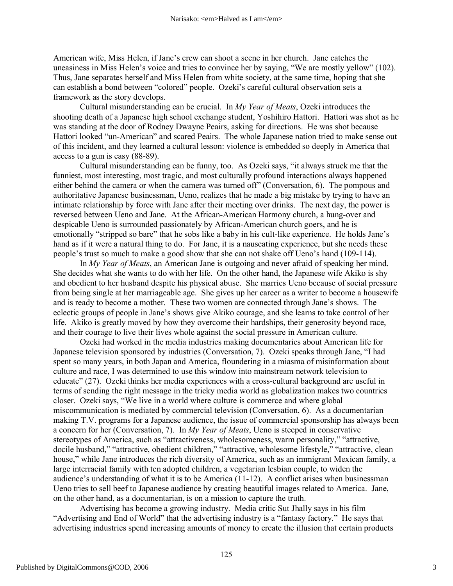American wife, Miss Helen, if Jane's crew can shoot a scene in her church. Jane catches the uneasiness in Miss Helen's voice and tries to convince her by saying, "We are mostly yellow" (102). Thus, Jane separates herself and Miss Helen from white society, at the same time, hoping that she can establish a bond between "colored" people. Ozeki's careful cultural observation sets a framework as the story develops.

Cultural misunderstanding can be crucial. In *My Year of Meats*, Ozeki introduces the shooting death of a Japanese high school exchange student, Yoshihiro Hattori. Hattori was shot as he was standing at the door of Rodney Dwayne Peairs, asking for directions. He was shot because Hattori looked "un-American" and scared Peairs. The whole Japanese nation tried to make sense out of this incident, and they learned a cultural lesson: violence is embedded so deeply in America that access to a gun is easy (88-89).

Cultural misunderstanding can be funny, too. As Ozeki says, "it always struck me that the funniest, most interesting, most tragic, and most culturally profound interactions always happened either behind the camera or when the camera was turned off" (Conversation, 6). The pompous and authoritative Japanese businessman, Ueno, realizes that he made a big mistake by trying to have an intimate relationship by force with Jane after their meeting over drinks. The next day, the power is reversed between Ueno and Jane. At the African-American Harmony church, a hung-over and despicable Ueno is surrounded passionately by African-American church goers, and he is emotionally "stripped so bare" that he sobs like a baby in his cult-like experience. He holds Jane's hand as if it were a natural thing to do. For Jane, it is a nauseating experience, but she needs these people's trust so much to make a good show that she can not shake off Ueno's hand (109-114).

In *My Year of Meats*, an American Jane is outgoing and never afraid of speaking her mind. She decides what she wants to do with her life. On the other hand, the Japanese wife Akiko is shy and obedient to her husband despite his physical abuse. She marries Ueno because of social pressure from being single at her marriageable age. She gives up her career as a writer to become a housewife and is ready to become a mother. These two women are connected through Jane's shows. The eclectic groups of people in Jane's shows give Akiko courage, and she learns to take control of her life. Akiko is greatly moved by how they overcome their hardships, their generosity beyond race, and their courage to live their lives whole against the social pressure in American culture.

Ozeki had worked in the media industries making documentaries about American life for Japanese television sponsored by industries (Conversation, 7). Ozeki speaks through Jane, "I had spent so many years, in both Japan and America, floundering in a miasma of misinformation about culture and race, I was determined to use this window into mainstream network television to educate" (27). Ozeki thinks her media experiences with a cross-cultural background are useful in terms of sending the right message in the tricky media world as globalization makes two countries closer. Ozeki says, "We live in a world where culture is commerce and where global miscommunication is mediated by commercial television (Conversation, 6). As a documentarian making T.V. programs for a Japanese audience, the issue of commercial sponsorship has always been a concern for her (Conversation, 7). In *My Year of Meats*, Ueno is steeped in conservative stereotypes of America, such as "attractiveness, wholesomeness, warm personality," "attractive, docile husband," "attractive, obedient children," "attractive, wholesome lifestyle," "attractive, clean house," while Jane introduces the rich diversity of America, such as an immigrant Mexican family, a large interracial family with ten adopted children, a vegetarian lesbian couple, to widen the audience's understanding of what it is to be America (11-12). A conflict arises when businessman Ueno tries to sell beef to Japanese audience by creating beautiful images related to America. Jane, on the other hand, as a documentarian, is on a mission to capture the truth.

Advertising has become a growing industry. Media critic Sut Jhally says in his film "Advertising and End of World" that the advertising industry is a "fantasy factory." He says that advertising industries spend increasing amounts of money to create the illusion that certain products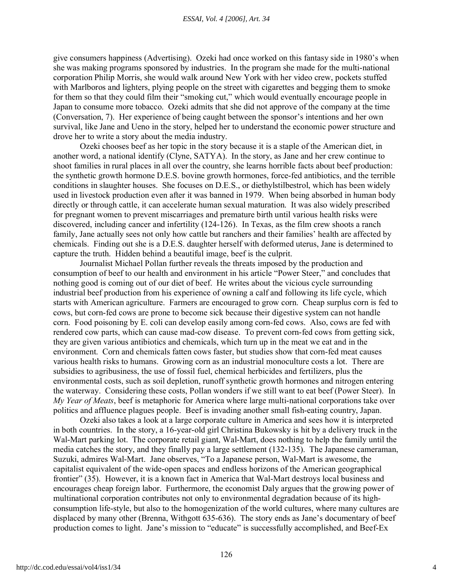give consumers happiness (Advertising). Ozeki had once worked on this fantasy side in 1980's when she was making programs sponsored by industries. In the program she made for the multi-national corporation Philip Morris, she would walk around New York with her video crew, pockets stuffed with Marlboros and lighters, plying people on the street with cigarettes and begging them to smoke for them so that they could film their "smoking cut," which would eventually encourage people in Japan to consume more tobacco. Ozeki admits that she did not approve of the company at the time (Conversation, 7). Her experience of being caught between the sponsor's intentions and her own survival, like Jane and Ueno in the story, helped her to understand the economic power structure and drove her to write a story about the media industry.

Ozeki chooses beef as her topic in the story because it is a staple of the American diet, in another word, a national identify (Clyne, SATYA). In the story, as Jane and her crew continue to shoot families in rural places in all over the country, she learns horrible facts about beef production: the synthetic growth hormone D.E.S. bovine growth hormones, force-fed antibiotics, and the terrible conditions in slaughter houses. She focuses on D.E.S., or diethylstilbestrol, which has been widely used in livestock production even after it was banned in 1979. When being absorbed in human body directly or through cattle, it can accelerate human sexual maturation. It was also widely prescribed for pregnant women to prevent miscarriages and premature birth until various health risks were discovered, including cancer and infertility (124-126). In Texas, as the film crew shoots a ranch family, Jane actually sees not only how cattle but ranchers and their families' health are affected by chemicals. Finding out she is a D.E.S. daughter herself with deformed uterus, Jane is determined to capture the truth. Hidden behind a beautiful image, beef is the culprit.

Journalist Michael Pollan further reveals the threats imposed by the production and consumption of beef to our health and environment in his article "Power Steer," and concludes that nothing good is coming out of our diet of beef. He writes about the vicious cycle surrounding industrial beef production from his experience of owning a calf and following its life cycle, which starts with American agriculture. Farmers are encouraged to grow corn. Cheap surplus corn is fed to cows, but corn-fed cows are prone to become sick because their digestive system can not handle corn. Food poisoning by E. coli can develop easily among corn-fed cows. Also, cows are fed with rendered cow parts, which can cause mad-cow disease. To prevent corn-fed cows from getting sick, they are given various antibiotics and chemicals, which turn up in the meat we eat and in the environment. Corn and chemicals fatten cows faster, but studies show that corn-fed meat causes various health risks to humans. Growing corn as an industrial monoculture costs a lot. There are subsidies to agribusiness, the use of fossil fuel, chemical herbicides and fertilizers, plus the environmental costs, such as soil depletion, runoff synthetic growth hormones and nitrogen entering the waterway. Considering these costs, Pollan wonders if we still want to eat beef (Power Steer). In *My Year of Meats*, beef is metaphoric for America where large multi-national corporations take over politics and affluence plagues people. Beef is invading another small fish-eating country, Japan.

Ozeki also takes a look at a large corporate culture in America and sees how it is interpreted in both countries. In the story, a 16-year-old girl Christina Bukowsky is hit by a delivery truck in the Wal-Mart parking lot. The corporate retail giant, Wal-Mart, does nothing to help the family until the media catches the story, and they finally pay a large settlement (132-135). The Japanese cameraman, Suzuki, admires Wal-Mart. Jane observes, "To a Japanese person, Wal-Mart is awesome, the capitalist equivalent of the wide-open spaces and endless horizons of the American geographical frontier" (35). However, it is a known fact in America that Wal-Mart destroys local business and encourages cheap foreign labor. Furthermore, the economist Daly argues that the growing power of multinational corporation contributes not only to environmental degradation because of its highconsumption life-style, but also to the homogenization of the world cultures, where many cultures are displaced by many other (Brenna, Withgott 635-636). The story ends as Jane's documentary of beef production comes to light. Jane's mission to "educate" is successfully accomplished, and Beef-Ex

4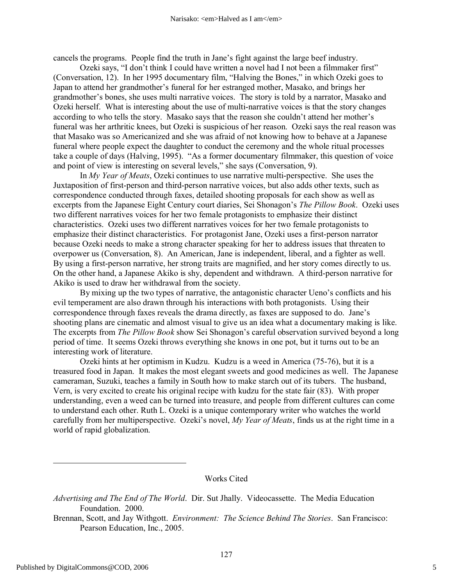cancels the programs. People find the truth in Jane's fight against the large beef industry.

Ozeki says, "I don't think I could have written a novel had I not been a filmmaker first" (Conversation, 12). In her 1995 documentary film, "Halving the Bones," in which Ozeki goes to Japan to attend her grandmother's funeral for her estranged mother, Masako, and brings her grandmother's bones, she uses multi narrative voices. The story is told by a narrator, Masako and Ozeki herself. What is interesting about the use of multi-narrative voices is that the story changes according to who tells the story. Masako says that the reason she couldn't attend her mother's funeral was her arthritic knees, but Ozeki is suspicious of her reason. Ozeki says the real reason was that Masako was so Americanized and she was afraid of not knowing how to behave at a Japanese funeral where people expect the daughter to conduct the ceremony and the whole ritual processes take a couple of days (Halving, 1995). "As a former documentary filmmaker, this question of voice and point of view is interesting on several levels," she says (Conversation, 9).

In *My Year of Meats*, Ozeki continues to use narrative multi-perspective. She uses the Juxtaposition of first-person and third-person narrative voices, but also adds other texts, such as correspondence conducted through faxes, detailed shooting proposals for each show as well as excerpts from the Japanese Eight Century court diaries, Sei Shonagon's *The Pillow Book*. Ozeki uses two different narratives voices for her two female protagonists to emphasize their distinct characteristics. Ozeki uses two different narratives voices for her two female protagonists to emphasize their distinct characteristics. For protagonist Jane, Ozeki uses a first-person narrator because Ozeki needs to make a strong character speaking for her to address issues that threaten to overpower us (Conversation, 8). An American, Jane is independent, liberal, and a fighter as well. By using a first-person narrative, her strong traits are magnified, and her story comes directly to us. On the other hand, a Japanese Akiko is shy, dependent and withdrawn. A third-person narrative for Akiko is used to draw her withdrawal from the society.

By mixing up the two types of narrative, the antagonistic character Ueno's conflicts and his evil temperament are also drawn through his interactions with both protagonists. Using their correspondence through faxes reveals the drama directly, as faxes are supposed to do. Jane's shooting plans are cinematic and almost visual to give us an idea what a documentary making is like. The excerpts from *The Pillow Book* show Sei Shonagon's careful observation survived beyond a long period of time. It seems Ozeki throws everything she knows in one pot, but it turns out to be an interesting work of literature.

Ozeki hints at her optimism in Kudzu. Kudzu is a weed in America (75-76), but it is a treasured food in Japan. It makes the most elegant sweets and good medicines as well. The Japanese cameraman, Suzuki, teaches a family in South how to make starch out of its tubers. The husband, Vern, is very excited to create his original recipe with kudzu for the state fair (83). With proper understanding, even a weed can be turned into treasure, and people from different cultures can come to understand each other. Ruth L. Ozeki is a unique contemporary writer who watches the world carefully from her multiperspective. Ozeki's novel, *My Year of Meats*, finds us at the right time in a world of rapid globalization.

#### Works Cited

*Advertising and The End of The World*. Dir. Sut Jhally. Videocassette. The Media Education Foundation. 2000.

Brennan, Scott, and Jay Withgott. *Environment: The Science Behind The Stories*. San Francisco: Pearson Education, Inc., 2005.